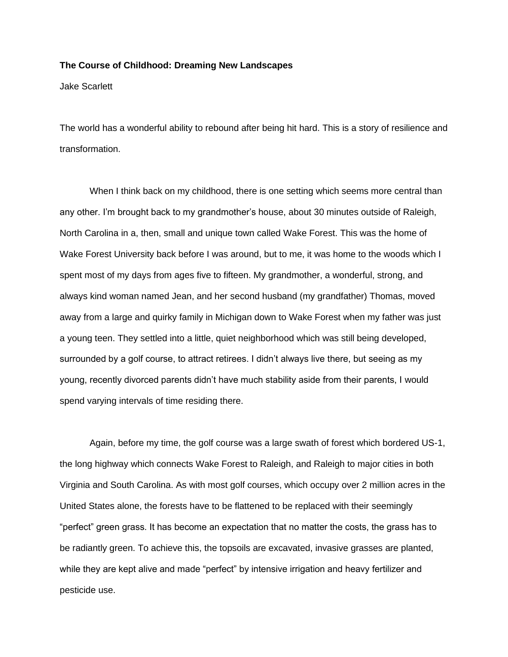## **The Course of Childhood: Dreaming New Landscapes**

Jake Scarlett

The world has a wonderful ability to rebound after being hit hard. This is a story of resilience and transformation.

When I think back on my childhood, there is one setting which seems more central than any other. I'm brought back to my grandmother's house, about 30 minutes outside of Raleigh, North Carolina in a, then, small and unique town called Wake Forest. This was the home of Wake Forest University back before I was around, but to me, it was home to the woods which I spent most of my days from ages five to fifteen. My grandmother, a wonderful, strong, and always kind woman named Jean, and her second husband (my grandfather) Thomas, moved away from a large and quirky family in Michigan down to Wake Forest when my father was just a young teen. They settled into a little, quiet neighborhood which was still being developed, surrounded by a golf course, to attract retirees. I didn't always live there, but seeing as my young, recently divorced parents didn't have much stability aside from their parents, I would spend varying intervals of time residing there.

Again, before my time, the golf course was a large swath of forest which bordered US-1, the long highway which connects Wake Forest to Raleigh, and Raleigh to major cities in both Virginia and South Carolina. As with most golf courses, which occupy over 2 million acres in the United States alone, the forests have to be flattened to be replaced with their seemingly "perfect" green grass. It has become an expectation that no matter the costs, the grass has to be radiantly green. To achieve this, the topsoils are excavated, invasive grasses are planted, while they are kept alive and made "perfect" by intensive irrigation and heavy fertilizer and pesticide use.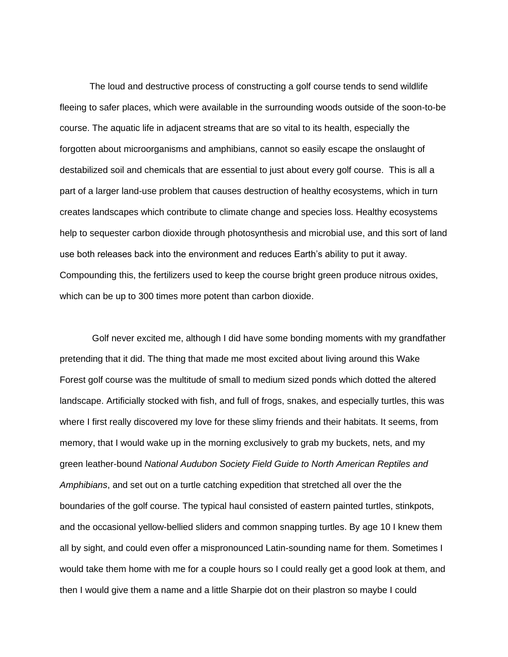The loud and destructive process of constructing a golf course tends to send wildlife fleeing to safer places, which were available in the surrounding woods outside of the soon-to-be course. The aquatic life in adjacent streams that are so vital to its health, especially the forgotten about microorganisms and amphibians, cannot so easily escape the onslaught of destabilized soil and chemicals that are essential to just about every golf course. This is all a part of a larger land-use problem that causes destruction of healthy ecosystems, which in turn creates landscapes which contribute to climate change and species loss. Healthy ecosystems help to sequester carbon dioxide through photosynthesis and microbial use, and this sort of land use both releases back into the environment and reduces Earth's ability to put it away. Compounding this, the fertilizers used to keep the course bright green produce nitrous oxides, which can be up to 300 times more potent than carbon dioxide.

Golf never excited me, although I did have some bonding moments with my grandfather pretending that it did. The thing that made me most excited about living around this Wake Forest golf course was the multitude of small to medium sized ponds which dotted the altered landscape. Artificially stocked with fish, and full of frogs, snakes, and especially turtles, this was where I first really discovered my love for these slimy friends and their habitats. It seems, from memory, that I would wake up in the morning exclusively to grab my buckets, nets, and my green leather-bound *National Audubon Society Field Guide to North American Reptiles and Amphibians*, and set out on a turtle catching expedition that stretched all over the the boundaries of the golf course. The typical haul consisted of eastern painted turtles, stinkpots, and the occasional yellow-bellied sliders and common snapping turtles. By age 10 I knew them all by sight, and could even offer a mispronounced Latin-sounding name for them. Sometimes I would take them home with me for a couple hours so I could really get a good look at them, and then I would give them a name and a little Sharpie dot on their plastron so maybe I could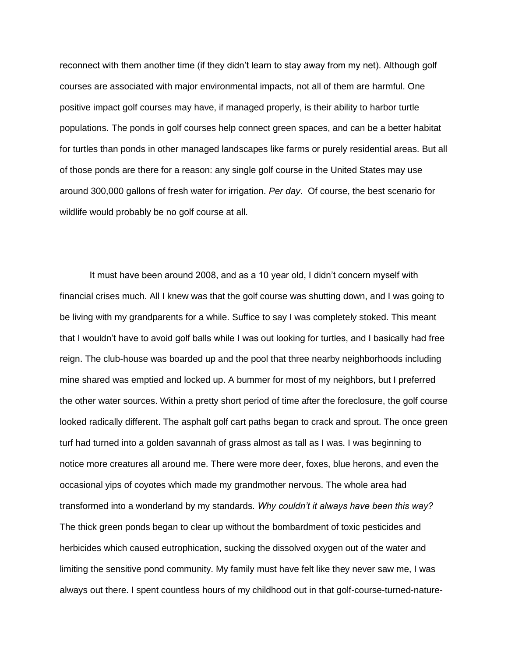reconnect with them another time (if they didn't learn to stay away from my net). Although golf courses are associated with major environmental impacts, not all of them are harmful. One positive impact golf courses may have, if managed properly, is their ability to harbor turtle populations. The ponds in golf courses help connect green spaces, and can be a better habitat for turtles than ponds in other managed landscapes like farms or purely residential areas. But all of those ponds are there for a reason: any single golf course in the United States may use around 300,000 gallons of fresh water for irrigation. *Per day*. Of course, the best scenario for wildlife would probably be no golf course at all.

It must have been around 2008, and as a 10 year old, I didn't concern myself with financial crises much. All I knew was that the golf course was shutting down, and I was going to be living with my grandparents for a while. Suffice to say I was completely stoked. This meant that I wouldn't have to avoid golf balls while I was out looking for turtles, and I basically had free reign. The club-house was boarded up and the pool that three nearby neighborhoods including mine shared was emptied and locked up. A bummer for most of my neighbors, but I preferred the other water sources. Within a pretty short period of time after the foreclosure, the golf course looked radically different. The asphalt golf cart paths began to crack and sprout. The once green turf had turned into a golden savannah of grass almost as tall as I was. I was beginning to notice more creatures all around me. There were more deer, foxes, blue herons, and even the occasional yips of coyotes which made my grandmother nervous. The whole area had transformed into a wonderland by my standards. *Why couldn't it always have been this way?*  The thick green ponds began to clear up without the bombardment of toxic pesticides and herbicides which caused eutrophication, sucking the dissolved oxygen out of the water and limiting the sensitive pond community. My family must have felt like they never saw me, I was always out there. I spent countless hours of my childhood out in that golf-course-turned-nature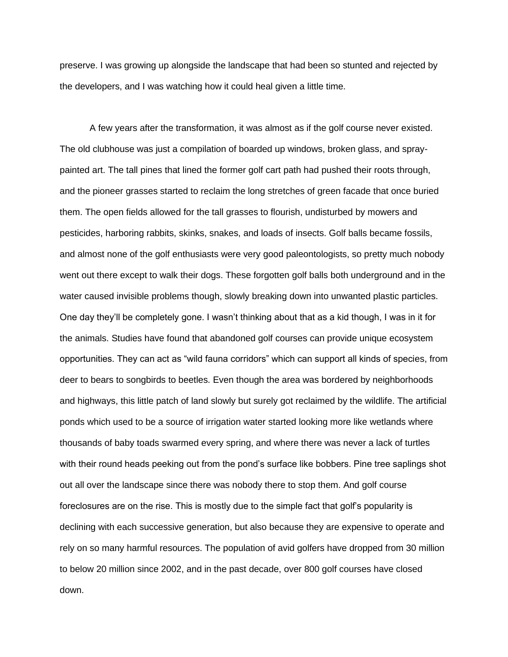preserve. I was growing up alongside the landscape that had been so stunted and rejected by the developers, and I was watching how it could heal given a little time.

A few years after the transformation, it was almost as if the golf course never existed. The old clubhouse was just a compilation of boarded up windows, broken glass, and spraypainted art. The tall pines that lined the former golf cart path had pushed their roots through, and the pioneer grasses started to reclaim the long stretches of green facade that once buried them. The open fields allowed for the tall grasses to flourish, undisturbed by mowers and pesticides, harboring rabbits, skinks, snakes, and loads of insects. Golf balls became fossils, and almost none of the golf enthusiasts were very good paleontologists, so pretty much nobody went out there except to walk their dogs. These forgotten golf balls both underground and in the water caused invisible problems though, slowly breaking down into unwanted plastic particles. One day they'll be completely gone. I wasn't thinking about that as a kid though, I was in it for the animals. Studies have found that abandoned golf courses can provide unique ecosystem opportunities. They can act as "wild fauna corridors" which can support all kinds of species, from deer to bears to songbirds to beetles. Even though the area was bordered by neighborhoods and highways, this little patch of land slowly but surely got reclaimed by the wildlife. The artificial ponds which used to be a source of irrigation water started looking more like wetlands where thousands of baby toads swarmed every spring, and where there was never a lack of turtles with their round heads peeking out from the pond's surface like bobbers. Pine tree saplings shot out all over the landscape since there was nobody there to stop them. And golf course foreclosures are on the rise. This is mostly due to the simple fact that golf's popularity is declining with each successive generation, but also because they are expensive to operate and rely on so many harmful resources. The population of avid golfers have dropped from 30 million to below 20 million since 2002, and in the past decade, over 800 golf courses have closed down.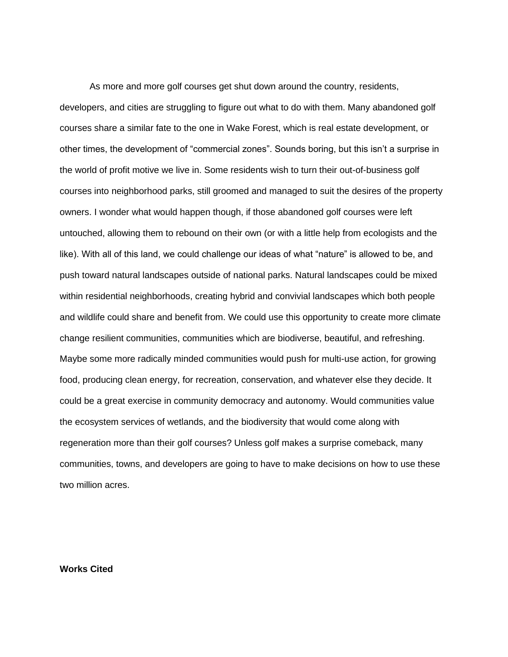As more and more golf courses get shut down around the country, residents, developers, and cities are struggling to figure out what to do with them. Many abandoned golf courses share a similar fate to the one in Wake Forest, which is real estate development, or other times, the development of "commercial zones". Sounds boring, but this isn't a surprise in the world of profit motive we live in. Some residents wish to turn their out-of-business golf courses into neighborhood parks, still groomed and managed to suit the desires of the property owners. I wonder what would happen though, if those abandoned golf courses were left untouched, allowing them to rebound on their own (or with a little help from ecologists and the like). With all of this land, we could challenge our ideas of what "nature" is allowed to be, and push toward natural landscapes outside of national parks. Natural landscapes could be mixed within residential neighborhoods, creating hybrid and convivial landscapes which both people and wildlife could share and benefit from. We could use this opportunity to create more climate change resilient communities, communities which are biodiverse, beautiful, and refreshing. Maybe some more radically minded communities would push for multi-use action, for growing food, producing clean energy, for recreation, conservation, and whatever else they decide. It could be a great exercise in community democracy and autonomy. Would communities value the ecosystem services of wetlands, and the biodiversity that would come along with regeneration more than their golf courses? Unless golf makes a surprise comeback, many communities, towns, and developers are going to have to make decisions on how to use these two million acres.

**Works Cited**